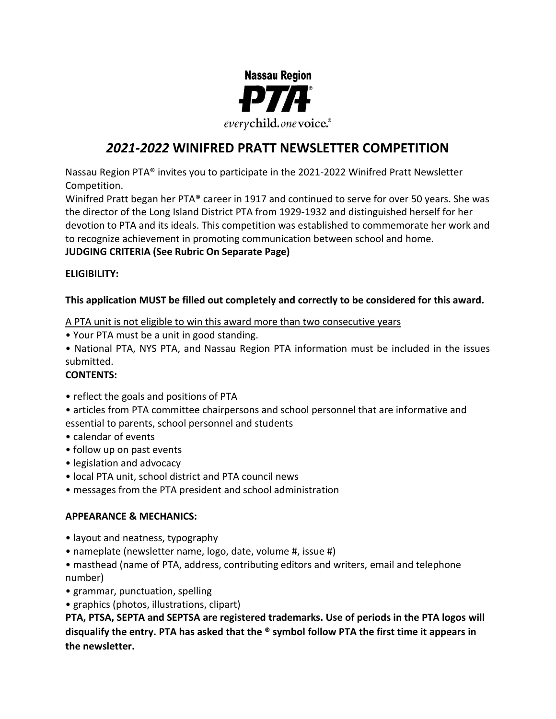

# *2021-2022* **WINIFRED PRATT NEWSLETTER COMPETITION**

Nassau Region PTA® invites you to participate in the 2021-2022 Winifred Pratt Newsletter Competition.

Winifred Pratt began her PTA® career in 1917 and continued to serve for over 50 years. She was the director of the Long Island District PTA from 1929-1932 and distinguished herself for her devotion to PTA and its ideals. This competition was established to commemorate her work and to recognize achievement in promoting communication between school and home. **JUDGING CRITERIA (See Rubric On Separate Page)**

# **ELIGIBILITY:**

# **This application MUST be filled out completely and correctly to be considered for this award.**

#### A PTA unit is not eligible to win this award more than two consecutive years

• Your PTA must be a unit in good standing.

• National PTA, NYS PTA, and Nassau Region PTA information must be included in the issues submitted.

# **CONTENTS:**

- reflect the goals and positions of PTA
- articles from PTA committee chairpersons and school personnel that are informative and essential to parents, school personnel and students
- calendar of events
- follow up on past events
- legislation and advocacy
- local PTA unit, school district and PTA council news
- messages from the PTA president and school administration

#### **APPEARANCE & MECHANICS:**

- layout and neatness, typography
- nameplate (newsletter name, logo, date, volume #, issue #)
- masthead (name of PTA, address, contributing editors and writers, email and telephone number)
- grammar, punctuation, spelling
- graphics (photos, illustrations, clipart)

**PTA, PTSA, SEPTA and SEPTSA are registered trademarks. Use of periods in the PTA logos will disqualify the entry. PTA has asked that the ® symbol follow PTA the first time it appears in the newsletter.**